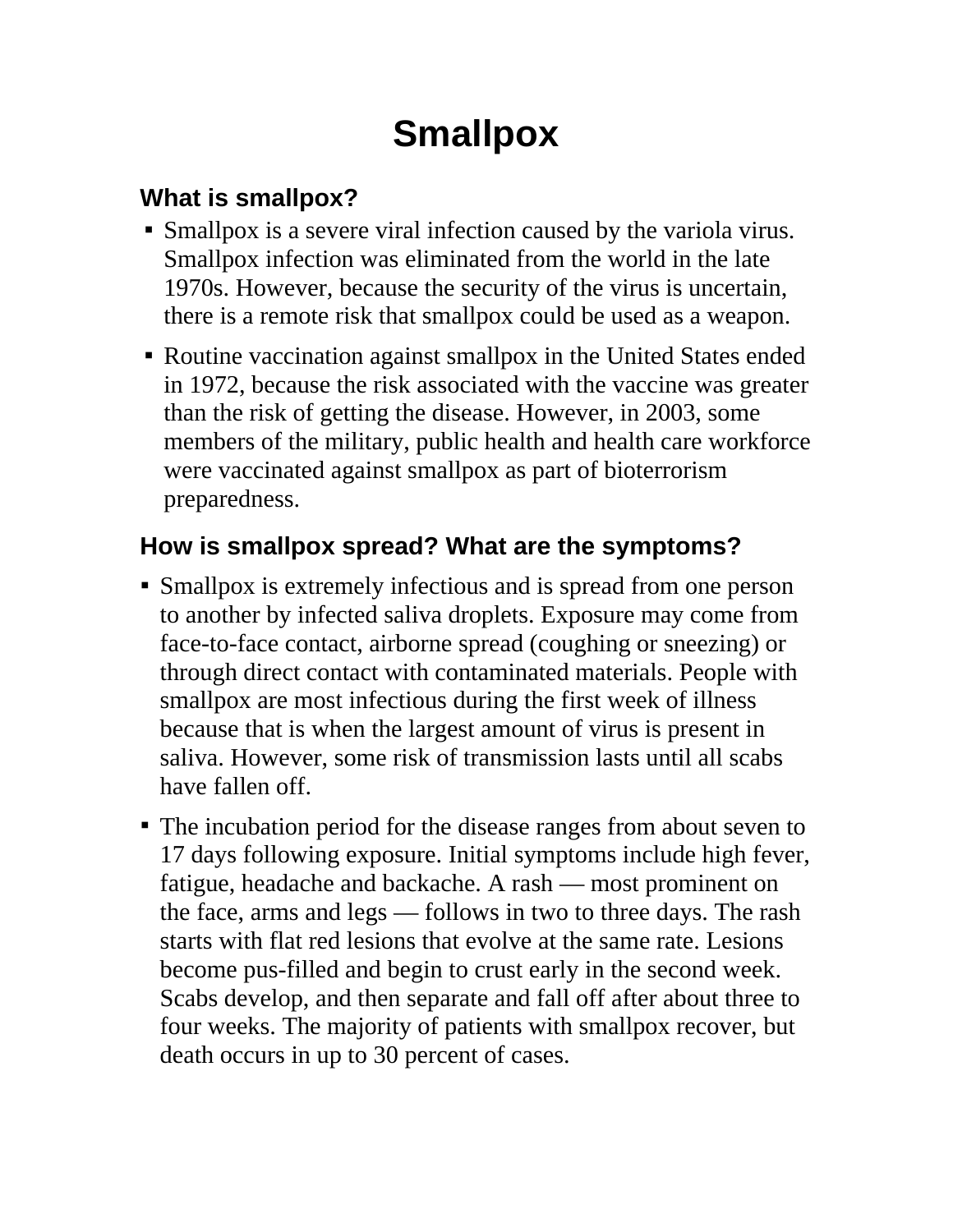# **Smallpox**

## **What is smallpox?**

- Smallpox is a severe viral infection caused by the variola virus. Smallpox infection was eliminated from the world in the late 1970s. However, because the security of the virus is uncertain, there is a remote risk that smallpox could be used as a weapon.
- Routine vaccination against smallpox in the United States ended in 1972, because the risk associated with the vaccine was greater than the risk of getting the disease. However, in 2003, some members of the military, public health and health care workforce were vaccinated against smallpox as part of bioterrorism preparedness.

### **How is smallpox spread? What are the symptoms?**

- Smallpox is extremely infectious and is spread from one person to another by infected saliva droplets. Exposure may come from face-to-face contact, airborne spread (coughing or sneezing) or through direct contact with contaminated materials. People with smallpox are most infectious during the first week of illness because that is when the largest amount of virus is present in saliva. However, some risk of transmission lasts until all scabs have fallen off.
- The incubation period for the disease ranges from about seven to 17 days following exposure. Initial symptoms include high fever, fatigue, headache and backache. A rash — most prominent on the face, arms and legs — follows in two to three days. The rash starts with flat red lesions that evolve at the same rate. Lesions become pus-filled and begin to crust early in the second week. Scabs develop, and then separate and fall off after about three to four weeks. The majority of patients with smallpox recover, but death occurs in up to 30 percent of cases.